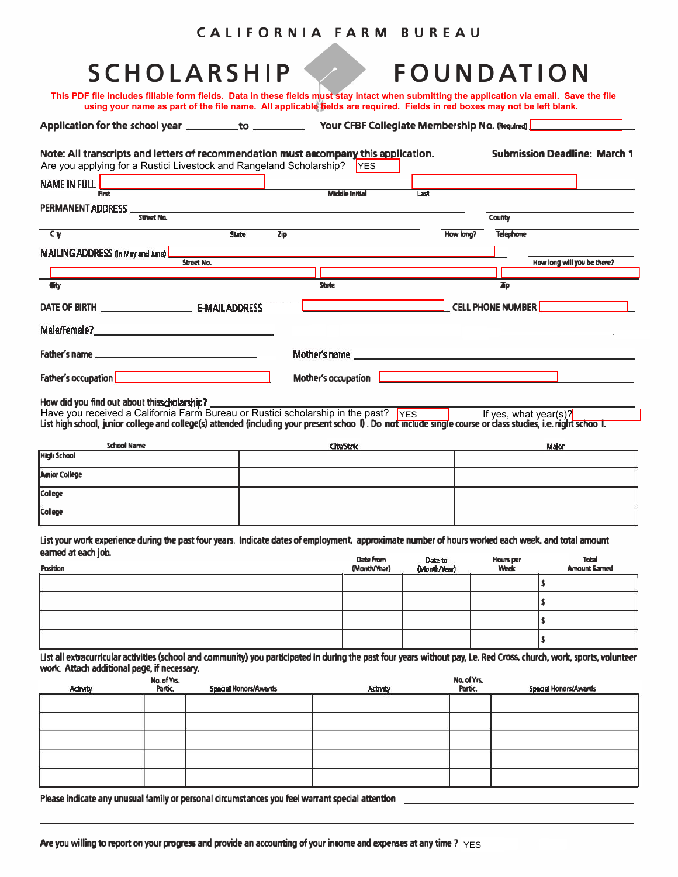| CALIFORNIA FARM BUREAU |  |  |
|------------------------|--|--|
|------------------------|--|--|

| <b>SCHOLARSHIP</b><br>This PDF file includes fillable form fields. Data in these fields must stay intact when submitting the application via email. Save the file                                                                                                                                 |                     |                                                                                                                                                                                                                                                                                             |           | FOUNDATION                          |
|---------------------------------------------------------------------------------------------------------------------------------------------------------------------------------------------------------------------------------------------------------------------------------------------------|---------------------|---------------------------------------------------------------------------------------------------------------------------------------------------------------------------------------------------------------------------------------------------------------------------------------------|-----------|-------------------------------------|
| using your name as part of the file name. All applicable fields are required. Fields in red boxes may not be left blank.                                                                                                                                                                          |                     |                                                                                                                                                                                                                                                                                             |           |                                     |
|                                                                                                                                                                                                                                                                                                   |                     |                                                                                                                                                                                                                                                                                             |           |                                     |
| Note: All transcripts and letters of recommendation must accompany this application.<br>Are you applying for a Rustici Livestock and Rangeland Scholarship?                                                                                                                                       |                     | <b>IYES</b>                                                                                                                                                                                                                                                                                 |           | <b>Submission Deadline: March 1</b> |
| <b>NAME IN FULL</b>                                                                                                                                                                                                                                                                               |                     |                                                                                                                                                                                                                                                                                             |           |                                     |
| <b>First</b>                                                                                                                                                                                                                                                                                      |                     | <b>Middle Initial</b>                                                                                                                                                                                                                                                                       | Last      |                                     |
| PERMANENT ADDRESS STREET NO.                                                                                                                                                                                                                                                                      |                     |                                                                                                                                                                                                                                                                                             |           | County                              |
| <b>CV</b>                                                                                                                                                                                                                                                                                         | <b>State</b><br>Zip |                                                                                                                                                                                                                                                                                             | How long? | <b>Telephone</b>                    |
| MAILING ADDRESS (In May and June)<br>Street No.                                                                                                                                                                                                                                                   |                     |                                                                                                                                                                                                                                                                                             |           | How long will you be there?         |
|                                                                                                                                                                                                                                                                                                   |                     |                                                                                                                                                                                                                                                                                             |           |                                     |
| <b>G</b> tv                                                                                                                                                                                                                                                                                       |                     | <b>State</b>                                                                                                                                                                                                                                                                                |           | <b>TD</b>                           |
| DATE OF BIRTH <b>E-MAILADDRESS</b>                                                                                                                                                                                                                                                                |                     |                                                                                                                                                                                                                                                                                             |           | <b>CELL PHONE NUMBER</b>            |
| Male/Female? And the contract of the contract of the contract of the contract of the contract of the contract of the contract of the contract of the contract of the contract of the contract of the contract of the contract                                                                     |                     |                                                                                                                                                                                                                                                                                             |           |                                     |
|                                                                                                                                                                                                                                                                                                   |                     | Mother's name and the contract of the contract of the contract of the contract of the contract of the contract of the contract of the contract of the contract of the contract of the contract of the contract of the contract                                                              |           |                                     |
| Father's occupation <b>contained a set of the set of the set of the set of the set of the set of the set of the set of the set of the set of the set of the set of the set of the set of the set of the set of the set of the se</b>                                                              |                     | Mother's occupation   <b>Constitution</b>   <b>Constitution</b>   <b>Constitution</b>   <b>Constitution</b>   <b>Constitution</b>   <b>Constitution</b>   <b>Constitution</b>   <b>Constitution</b>   <b>Constitution</b>   <b>Constitution</b>   <b>Constitution</b>   <b>Constitution</b> |           |                                     |
| How did you find out about thisscholarship?<br>Have you received a California Farm Bureau or Rustici scholarship in the past? YES<br>List high school, junior college and college(s) attended (including your present schoo I). Do not include single course or dass studies, i.e. right schoo T. |                     |                                                                                                                                                                                                                                                                                             |           | If yes, what year(s)?               |
| <b>School Name</b>                                                                                                                                                                                                                                                                                |                     | <b>City/State</b>                                                                                                                                                                                                                                                                           |           | Maker                               |
| <b>High School</b>                                                                                                                                                                                                                                                                                |                     |                                                                                                                                                                                                                                                                                             |           |                                     |

| High School          |  |
|----------------------|--|
| <b>Amior College</b> |  |
| College              |  |
| <b>College</b>       |  |

List your work experience during the past four years. Indicate dates of employment, approximate number of hours worked each week, and total amount earned at each job.

| . .<br>Position | Date from<br>(MontbVfear) | Date to<br>(Month/Year) | Hours per<br>Week | Total<br>Amount Earned |
|-----------------|---------------------------|-------------------------|-------------------|------------------------|
|                 |                           |                         |                   |                        |
|                 |                           |                         |                   |                        |
|                 |                           |                         |                   |                        |
|                 |                           |                         |                   |                        |

List all exbacurricular activities (school and community) you participated in during the past four years without pay, i.e. Red Cross, church, work, sports, volunteer work. Attach additional page, if necessary.

| <b>Activity</b> | No. of Y <sub>15.</sub><br>Partic. | <b>Special Honors/Awards</b> | Activity | No. of Yrs.<br>Partic. | Special Honors/Awards |
|-----------------|------------------------------------|------------------------------|----------|------------------------|-----------------------|
|                 |                                    |                              |          |                        |                       |
|                 |                                    |                              |          |                        |                       |
|                 |                                    |                              |          |                        |                       |
|                 |                                    |                              |          |                        |                       |
|                 |                                    |                              |          |                        |                       |

Please indicate any unusual family or personal circumstances you feel warrant special attention